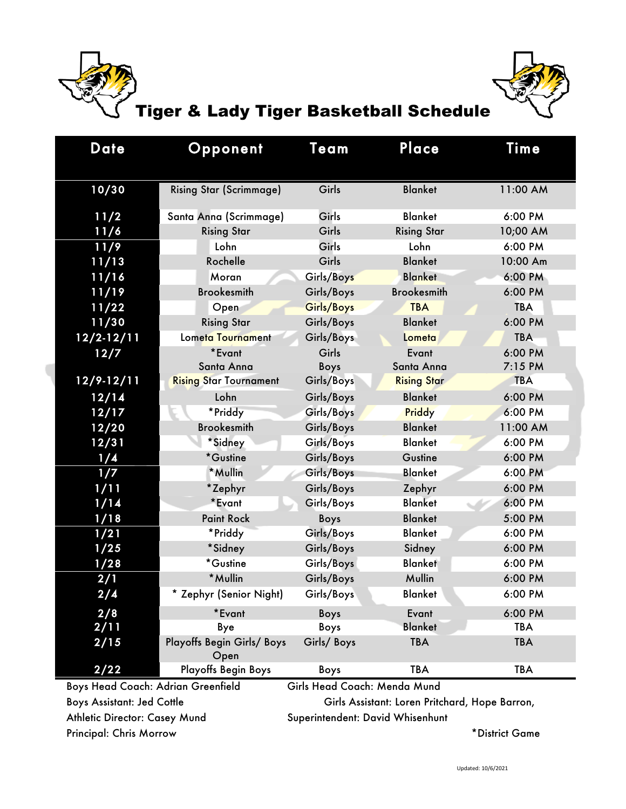



## Tiger & Lady Tiger Basketball Schedule

| <b>Date</b>                                                        | Opponent                           | Team        | Place              | Time       |
|--------------------------------------------------------------------|------------------------------------|-------------|--------------------|------------|
|                                                                    |                                    |             |                    |            |
| 10/30                                                              | <b>Rising Star (Scrimmage)</b>     | Girls       | <b>Blanket</b>     | 11:00 AM   |
| 11/2                                                               | Santa Anna (Scrimmage)             | Girls       | <b>Blanket</b>     | 6:00 PM    |
| 11/6                                                               | <b>Rising Star</b>                 | Girls       | <b>Rising Star</b> | 10;00 AM   |
| 11/9                                                               | Lohn                               | Girls       | Lohn               | 6:00 PM    |
| 11/13                                                              | Rochelle                           | Girls       | <b>Blanket</b>     | 10:00 Am   |
| 11/16                                                              | Moran                              | Girls/Boys  | <b>Blanket</b>     | 6:00 PM    |
| 11/19                                                              | <b>Brookesmith</b>                 | Girls/Boys  | <b>Brookesmith</b> | 6:00 PM    |
| 11/22                                                              | Open                               | Girls/Boys  | <b>TBA</b>         | <b>TBA</b> |
| 11/30                                                              | <b>Rising Star</b>                 | Girls/Boys  | <b>Blanket</b>     | 6:00 PM    |
| $12/2 - 12/11$                                                     | Lometa Tournament                  | Girls/Boys  | Lometa             | <b>TBA</b> |
| 12/7                                                               | *Evant                             | Girls       | Evant              | 6:00 PM    |
|                                                                    | Santa Anna                         | Boys        | Santa Anna         | 7:15 PM    |
| $12/9 - 12/11$                                                     | <b>Rising Star Tournament</b>      | Girls/Boys  | <b>Rising Star</b> | <b>TBA</b> |
| 12/14                                                              | Lohn                               | Girls/Boys  | <b>Blanket</b>     | 6:00 PM    |
| 12/17                                                              | *Priddy                            | Girls/Boys  | Priddy             | 6:00 PM    |
| 12/20                                                              | <b>Brookesmith</b>                 | Girls/Boys  | <b>Blanket</b>     | 11:00 AM   |
| 12/31                                                              | *Sidney                            | Girls/Boys  | <b>Blanket</b>     | 6:00 PM    |
| 1/4                                                                | *Gustine                           | Girls/Boys  | Gustine            | 6:00 PM    |
| 1/7                                                                | *Mullin                            | Girls/Boys  | <b>Blanket</b>     | 6:00 PM    |
| 1/11                                                               | *Zephyr                            | Girls/Boys  | Zephyr             | 6:00 PM    |
| 1/14                                                               | *Evant                             | Girls/Boys  | <b>Blanket</b>     | 6:00 PM    |
| 1/18                                                               | <b>Paint Rock</b>                  | <b>Boys</b> | <b>Blanket</b>     | 5:00 PM    |
| 1/21                                                               | *Priddy                            | Girls/Boys  | <b>Blanket</b>     | 6:00 PM    |
| 1/25                                                               | *Sidney                            | Girls/Boys  | Sidney             | 6:00 PM    |
| 1/28                                                               | *Gustine                           | Girls/Boys  | <b>Blanket</b>     | 6:00 PM    |
| 2/1                                                                | *Mullin                            | Girls/Boys  | Mullin             | 6:00 PM    |
| 2/4                                                                | Zephyr (Senior Night)              | Girls/Boys  | <b>Blanket</b>     | 6:00 PM    |
| 2/8                                                                | *Evant                             | <b>Boys</b> | Evant              | 6:00 PM    |
| 2/11                                                               | Bye                                | Boys        | <b>Blanket</b>     | <b>TBA</b> |
| 2/15                                                               | Playoffs Begin Girls/ Boys<br>Open | Girls/Boys  | <b>TBA</b>         | <b>TBA</b> |
| 2/22                                                               | <b>Playoffs Begin Boys</b>         | Boys        | <b>TBA</b>         | <b>TBA</b> |
| Boys Head Coach: Adrian Greenfield<br>Girls Head Coach: Menda Mund |                                    |             |                    |            |

Athletic Director: Casey Mund Superintendent: David Whisenhunt Principal: Chris Morrow **\*District Game** 

Boys Assistant: Jed Cottle Girls Assistant: Loren Pritchard, Hope Barron,